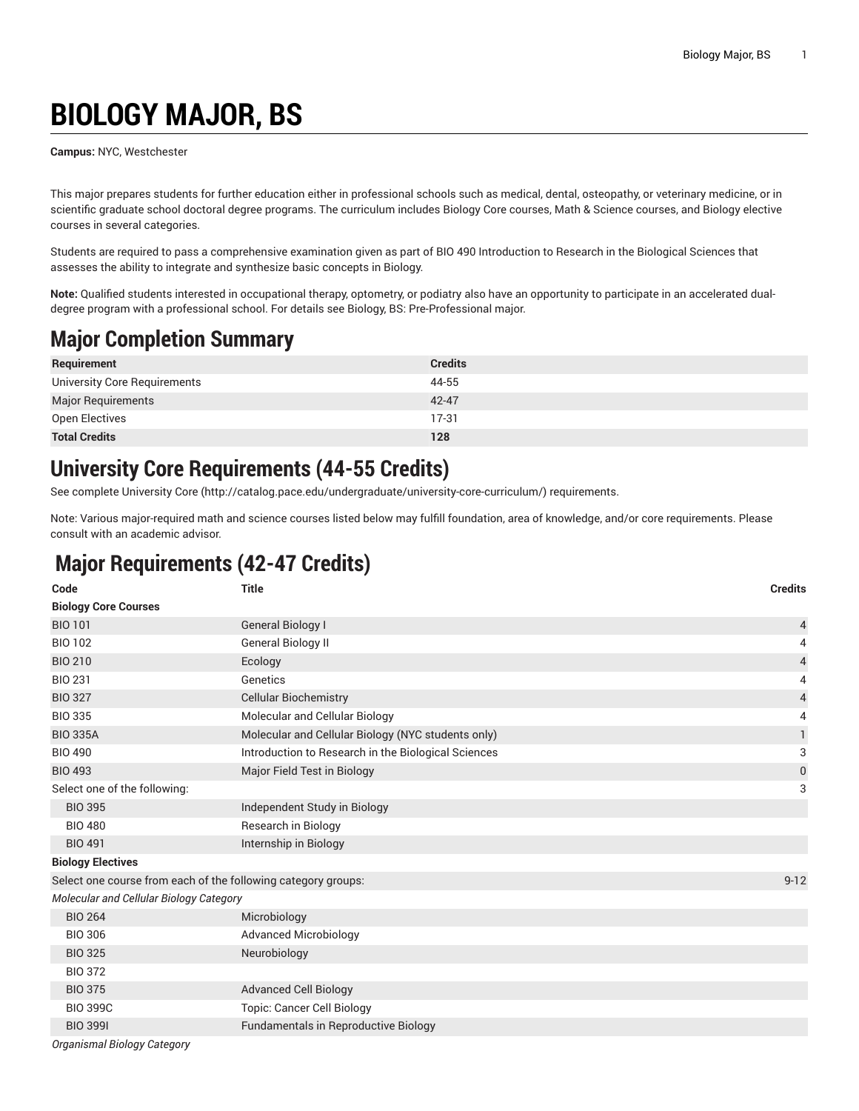# **BIOLOGY MAJOR, BS**

**Campus:** NYC, Westchester

This major prepares students for further education either in professional schools such as medical, dental, osteopathy, or veterinary medicine, or in scientific graduate school doctoral degree programs. The curriculum includes Biology Core courses, Math & Science courses, and Biology elective courses in several categories.

Students are required to pass a comprehensive examination given as part of BIO 490 Introduction to Research in the Biological Sciences that assesses the ability to integrate and synthesize basic concepts in Biology.

**Note:** Qualified students interested in occupational therapy, optometry, or podiatry also have an opportunity to participate in an accelerated dualdegree program with a professional school. For details see Biology, BS: Pre-Professional major.

## **Major Completion Summary**

| Requirement                  | <b>Credits</b> |
|------------------------------|----------------|
| University Core Requirements | 44-55          |
| Major Requirements           | 42-47          |
| Open Electives               | $17-31$        |
| <b>Total Credits</b>         | 128            |

#### **University Core Requirements (44-55 Credits)**

See complete [University](http://catalog.pace.edu/undergraduate/university-core-curriculum/) Core (<http://catalog.pace.edu/undergraduate/university-core-curriculum/>) requirements.

Note: Various major-required math and science courses listed below may fulfill foundation, area of knowledge, and/or core requirements. Please consult with an academic advisor.

### **Major Requirements (42-47 Credits)**

| Code                                                          | <b>Title</b>                                        | <b>Credits</b>   |
|---------------------------------------------------------------|-----------------------------------------------------|------------------|
| <b>Biology Core Courses</b>                                   |                                                     |                  |
| <b>BIO 101</b>                                                | <b>General Biology I</b>                            | 4                |
| <b>BIO 102</b>                                                | <b>General Biology II</b>                           | 4                |
| <b>BIO 210</b>                                                | Ecology                                             | $\overline{4}$   |
| <b>BIO 231</b>                                                | Genetics                                            | 4                |
| <b>BIO 327</b>                                                | <b>Cellular Biochemistry</b>                        | $\overline{4}$   |
| <b>BIO 335</b>                                                | Molecular and Cellular Biology                      | 4                |
| <b>BIO 335A</b>                                               | Molecular and Cellular Biology (NYC students only)  | $\mathbf{1}$     |
| <b>BIO 490</b>                                                | Introduction to Research in the Biological Sciences | 3                |
| <b>BIO 493</b>                                                | Major Field Test in Biology                         | $\boldsymbol{0}$ |
| Select one of the following:                                  |                                                     | 3                |
| <b>BIO 395</b>                                                | Independent Study in Biology                        |                  |
| <b>BIO 480</b>                                                | Research in Biology                                 |                  |
| <b>BIO 491</b>                                                | Internship in Biology                               |                  |
| <b>Biology Electives</b>                                      |                                                     |                  |
| Select one course from each of the following category groups: |                                                     | $9 - 12$         |
| Molecular and Cellular Biology Category                       |                                                     |                  |
| <b>BIO 264</b>                                                | Microbiology                                        |                  |
| <b>BIO 306</b>                                                | <b>Advanced Microbiology</b>                        |                  |
| <b>BIO 325</b>                                                | Neurobiology                                        |                  |
| <b>BIO 372</b>                                                |                                                     |                  |
| <b>BIO 375</b>                                                | <b>Advanced Cell Biology</b>                        |                  |
| <b>BIO 399C</b>                                               | <b>Topic: Cancer Cell Biology</b>                   |                  |
| <b>BIO 3991</b>                                               | Fundamentals in Reproductive Biology                |                  |

*Organismal Biology Category*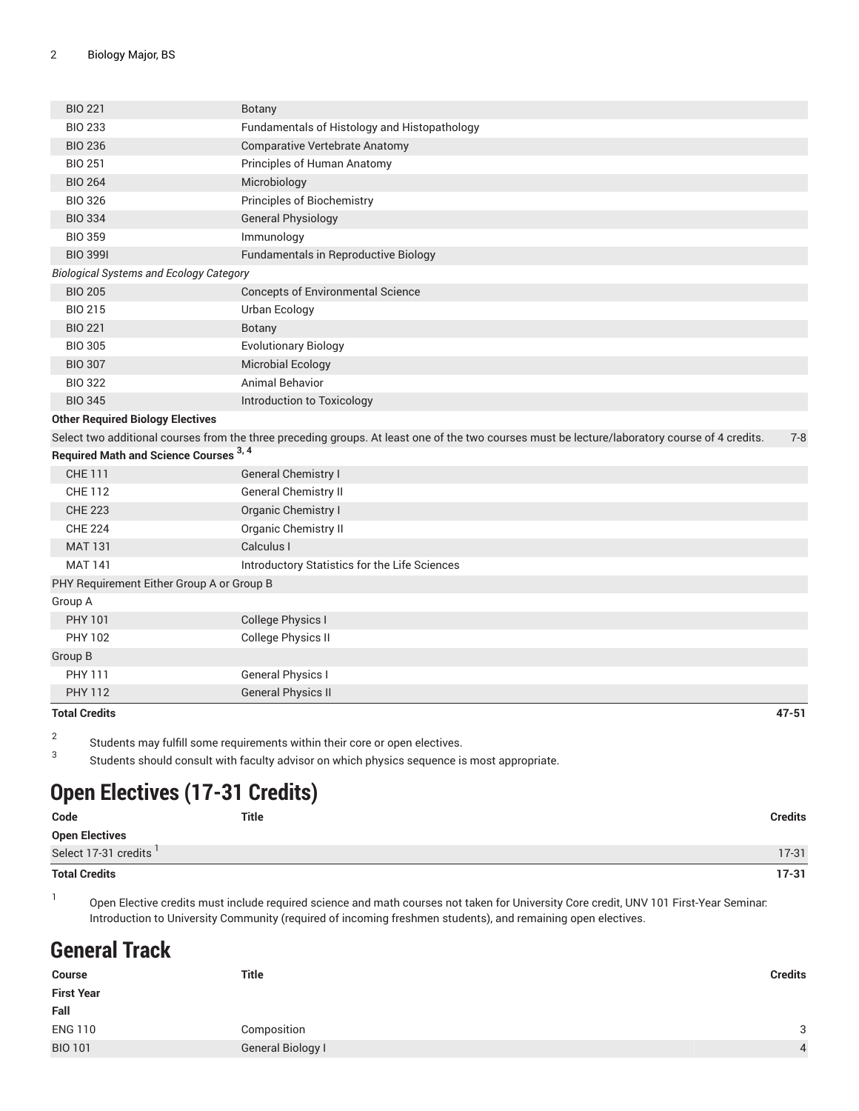| <b>BIO 221</b>                                 | <b>Botany</b>                                                                                                                                  |           |
|------------------------------------------------|------------------------------------------------------------------------------------------------------------------------------------------------|-----------|
| <b>BIO 233</b>                                 | Fundamentals of Histology and Histopathology                                                                                                   |           |
| <b>BIO 236</b>                                 | <b>Comparative Vertebrate Anatomy</b>                                                                                                          |           |
| <b>BIO 251</b>                                 | Principles of Human Anatomy                                                                                                                    |           |
| <b>BIO 264</b>                                 | Microbiology                                                                                                                                   |           |
| <b>BIO 326</b>                                 | Principles of Biochemistry                                                                                                                     |           |
| <b>BIO 334</b>                                 | <b>General Physiology</b>                                                                                                                      |           |
| <b>BIO 359</b>                                 | Immunology                                                                                                                                     |           |
| <b>BIO 3991</b>                                | Fundamentals in Reproductive Biology                                                                                                           |           |
| <b>Biological Systems and Ecology Category</b> |                                                                                                                                                |           |
| <b>BIO 205</b>                                 | <b>Concepts of Environmental Science</b>                                                                                                       |           |
| <b>BIO 215</b>                                 | Urban Ecology                                                                                                                                  |           |
| <b>BIO 221</b>                                 | Botany                                                                                                                                         |           |
| <b>BIO 305</b>                                 | <b>Evolutionary Biology</b>                                                                                                                    |           |
| <b>BIO 307</b>                                 | <b>Microbial Ecology</b>                                                                                                                       |           |
| <b>BIO 322</b>                                 | <b>Animal Behavior</b>                                                                                                                         |           |
| <b>BIO 345</b>                                 | Introduction to Toxicology                                                                                                                     |           |
| <b>Other Required Biology Electives</b>        |                                                                                                                                                |           |
|                                                | Select two additional courses from the three preceding groups. At least one of the two courses must be lecture/laboratory course of 4 credits. | $7 - 8$   |
| Required Math and Science Courses 3, 4         |                                                                                                                                                |           |
| <b>CHE 111</b>                                 | General Chemistry I                                                                                                                            |           |
| <b>CHE 112</b>                                 | <b>General Chemistry II</b>                                                                                                                    |           |
| <b>CHE 223</b>                                 | Organic Chemistry I                                                                                                                            |           |
| <b>CHE 224</b>                                 | Organic Chemistry II                                                                                                                           |           |
| <b>MAT 131</b>                                 | Calculus I                                                                                                                                     |           |
| <b>MAT 141</b>                                 | Introductory Statistics for the Life Sciences                                                                                                  |           |
| PHY Requirement Either Group A or Group B      |                                                                                                                                                |           |
| Group A                                        |                                                                                                                                                |           |
| <b>PHY 101</b>                                 | College Physics I                                                                                                                              |           |
| <b>PHY 102</b>                                 | College Physics II                                                                                                                             |           |
| Group B                                        |                                                                                                                                                |           |
| <b>PHY 111</b>                                 | <b>General Physics I</b>                                                                                                                       |           |
| <b>PHY 112</b>                                 | <b>General Physics II</b>                                                                                                                      |           |
| <b>Total Credits</b>                           |                                                                                                                                                | $47 - 51$ |

2 Students may fulfill some requirements within their core or open electives.

3 Students should consult with faculty advisor on which physics sequence is most appropriate.

## **Open Electives (17-31 Credits)**

| Code                   | <b>Title</b> | <b>Credits</b> |
|------------------------|--------------|----------------|
| Open Electives         |              |                |
| Select 17-31 credits ' |              | $17-31$        |
| <b>Total Credits</b>   |              | $17 - 31$      |

1 Open Elective credits must include required science and math courses not taken for University Core credit, UNV 101 First-Year Seminar: Introduction to University Community (required of incoming freshmen students), and remaining open electives.

### **General Track**

| <b>Course</b>     | <b>Title</b>      | <b>Credits</b> |
|-------------------|-------------------|----------------|
| <b>First Year</b> |                   |                |
| Fall              |                   |                |
| <b>ENG 110</b>    | Composition       | 3              |
| <b>BIO 101</b>    | General Biology I | $\overline{4}$ |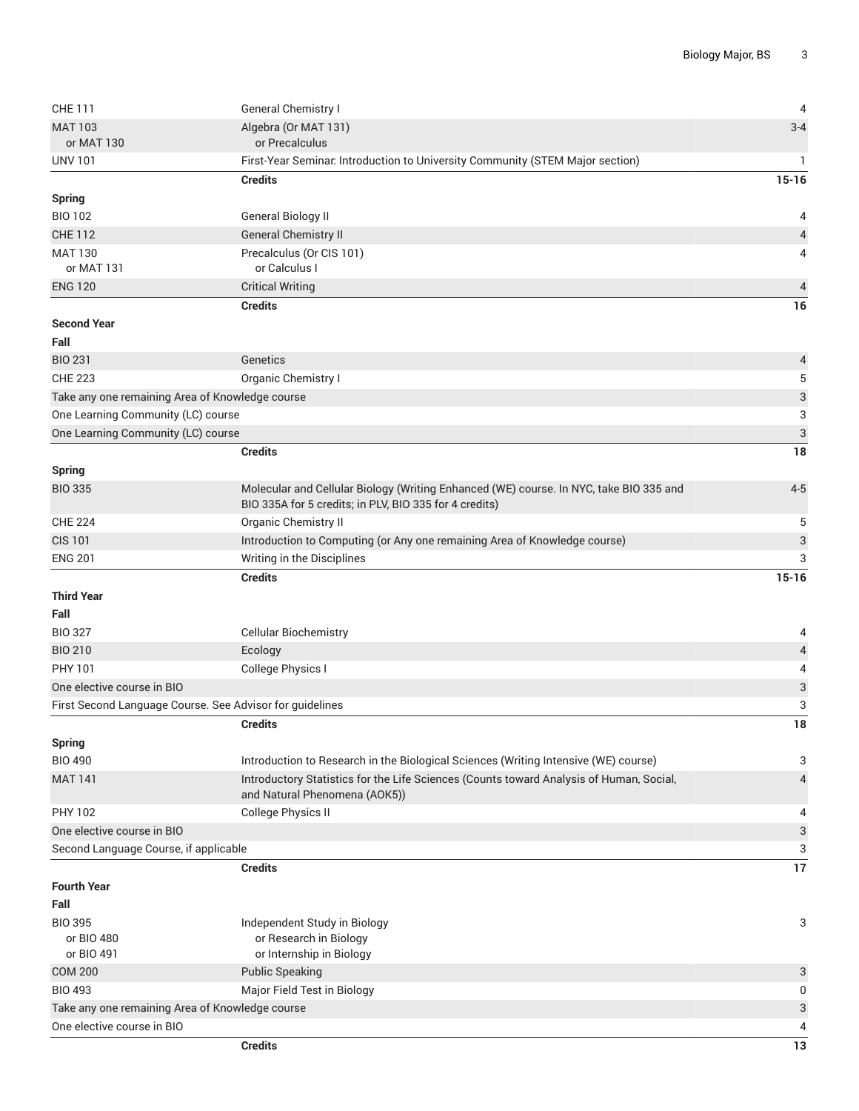| <b>CHE 111</b>                                  | General Chemistry I                                                                                                                              | $\overline{4}$            |
|-------------------------------------------------|--------------------------------------------------------------------------------------------------------------------------------------------------|---------------------------|
| <b>MAT 103</b><br>or MAT 130                    | Algebra (Or MAT 131)<br>or Precalculus                                                                                                           | $3 - 4$                   |
| <b>UNV 101</b>                                  | First-Year Seminar Introduction to University Community (STEM Major section)                                                                     | 1                         |
|                                                 | <b>Credits</b>                                                                                                                                   | $15 - 16$                 |
| <b>Spring</b>                                   |                                                                                                                                                  |                           |
| <b>BIO 102</b>                                  | General Biology II                                                                                                                               | 4                         |
| <b>CHE 112</b>                                  | <b>General Chemistry II</b>                                                                                                                      | $\overline{4}$            |
| <b>MAT 130</b>                                  | Precalculus (Or CIS 101)                                                                                                                         | 4                         |
| or MAT 131                                      | or Calculus I                                                                                                                                    |                           |
| <b>ENG 120</b>                                  | <b>Critical Writing</b>                                                                                                                          | $\overline{4}$            |
|                                                 | <b>Credits</b>                                                                                                                                   | 16                        |
| <b>Second Year</b>                              |                                                                                                                                                  |                           |
| Fall                                            |                                                                                                                                                  |                           |
| <b>BIO 231</b>                                  | Genetics                                                                                                                                         | $\overline{a}$            |
| <b>CHE 223</b>                                  | Organic Chemistry I                                                                                                                              | 5                         |
| Take any one remaining Area of Knowledge course |                                                                                                                                                  | $\ensuremath{\mathsf{3}}$ |
| One Learning Community (LC) course              |                                                                                                                                                  | 3                         |
| One Learning Community (LC) course              |                                                                                                                                                  | $\mathfrak{S}$            |
|                                                 | <b>Credits</b>                                                                                                                                   | 18                        |
| <b>Spring</b>                                   |                                                                                                                                                  |                           |
| <b>BIO 335</b>                                  | Molecular and Cellular Biology (Writing Enhanced (WE) course. In NYC, take BIO 335 and<br>BIO 335A for 5 credits; in PLV, BIO 335 for 4 credits) | $4 - 5$                   |
| <b>CHE 224</b>                                  | <b>Organic Chemistry II</b>                                                                                                                      | 5                         |
| <b>CIS 101</b>                                  | Introduction to Computing (or Any one remaining Area of Knowledge course)                                                                        | $\ensuremath{\mathsf{3}}$ |
| <b>ENG 201</b>                                  | Writing in the Disciplines                                                                                                                       | 3                         |
|                                                 | <b>Credits</b>                                                                                                                                   | $15 - 16$                 |
| <b>Third Year</b>                               |                                                                                                                                                  |                           |
| Fall                                            |                                                                                                                                                  |                           |
| <b>BIO 327</b>                                  | <b>Cellular Biochemistry</b>                                                                                                                     | 4                         |
| <b>BIO 210</b>                                  | Ecology                                                                                                                                          | $\sqrt{4}$                |
| PHY 101                                         | College Physics I                                                                                                                                | 4                         |
| One elective course in BIO                      |                                                                                                                                                  | 3                         |
|                                                 | First Second Language Course. See Advisor for guidelines                                                                                         | 3                         |
|                                                 | <b>Credits</b>                                                                                                                                   | $18\,$                    |
| <b>Spring</b>                                   |                                                                                                                                                  |                           |
| <b>BIO 490</b>                                  | Introduction to Research in the Biological Sciences (Writing Intensive (WE) course)                                                              | 3                         |
| <b>MAT 141</b>                                  | Introductory Statistics for the Life Sciences (Counts toward Analysis of Human, Social,<br>and Natural Phenomena (AOK5))                         | 4                         |
| <b>PHY 102</b>                                  | <b>College Physics II</b>                                                                                                                        | 4                         |
| One elective course in BIO                      |                                                                                                                                                  | $\ensuremath{\mathsf{3}}$ |
| Second Language Course, if applicable           |                                                                                                                                                  | 3                         |
|                                                 | <b>Credits</b>                                                                                                                                   | 17                        |
| <b>Fourth Year</b>                              |                                                                                                                                                  |                           |
| Fall                                            |                                                                                                                                                  |                           |
| <b>BIO 395</b>                                  | Independent Study in Biology                                                                                                                     | 3                         |
| or BIO 480                                      | or Research in Biology                                                                                                                           |                           |
| or BIO 491<br><b>COM 200</b>                    | or Internship in Biology<br><b>Public Speaking</b>                                                                                               |                           |
| <b>BIO 493</b>                                  | Major Field Test in Biology                                                                                                                      | 3<br>0                    |
| Take any one remaining Area of Knowledge course |                                                                                                                                                  | 3                         |
| One elective course in BIO                      |                                                                                                                                                  | 4                         |
|                                                 | <b>Credits</b>                                                                                                                                   | 13                        |
|                                                 |                                                                                                                                                  |                           |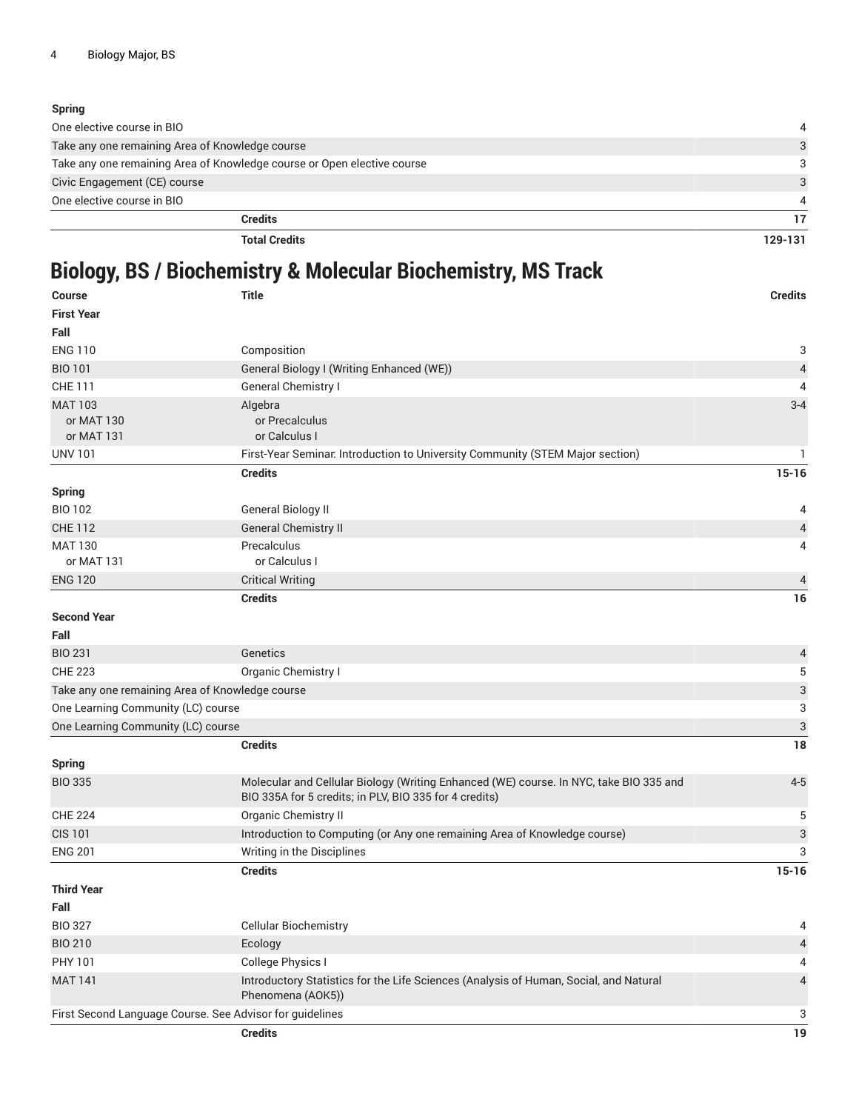#### **Spring**

| One elective course in BIO                                              |               |
|-------------------------------------------------------------------------|---------------|
| Take any one remaining Area of Knowledge course                         | 3             |
| Take any one remaining Area of Knowledge course or Open elective course | 3             |
| Civic Engagement (CE) course                                            | $\mathcal{S}$ |
| One elective course in BIO                                              |               |
| <b>Credits</b>                                                          |               |
| <b>Total Credits</b>                                                    | 129-131       |

## **Biology, BS / Biochemistry & Molecular Biochemistry, MS Track**

| <b>Course</b>                                   | <b>Title</b>                                                                                                                                     | <b>Credits</b>            |
|-------------------------------------------------|--------------------------------------------------------------------------------------------------------------------------------------------------|---------------------------|
| <b>First Year</b>                               |                                                                                                                                                  |                           |
| Fall                                            |                                                                                                                                                  |                           |
| <b>ENG 110</b>                                  | Composition                                                                                                                                      | 3                         |
| <b>BIO 101</b>                                  | General Biology I (Writing Enhanced (WE))                                                                                                        | 4                         |
| <b>CHE 111</b>                                  | General Chemistry I                                                                                                                              | 4                         |
| <b>MAT 103</b>                                  | Algebra                                                                                                                                          | $3 - 4$                   |
| or MAT 130                                      | or Precalculus                                                                                                                                   |                           |
| or MAT 131                                      | or Calculus I                                                                                                                                    |                           |
| <b>UNV 101</b>                                  | First-Year Seminar Introduction to University Community (STEM Major section)                                                                     | 1                         |
|                                                 | <b>Credits</b>                                                                                                                                   | $15 - 16$                 |
| <b>Spring</b>                                   |                                                                                                                                                  |                           |
| <b>BIO 102</b>                                  | General Biology II                                                                                                                               | 4                         |
| <b>CHE 112</b>                                  | <b>General Chemistry II</b>                                                                                                                      | $\overline{4}$            |
| <b>MAT 130</b>                                  | Precalculus                                                                                                                                      | 4                         |
| or MAT 131                                      | or Calculus I                                                                                                                                    |                           |
| <b>ENG 120</b>                                  | <b>Critical Writing</b>                                                                                                                          | 4                         |
|                                                 | <b>Credits</b>                                                                                                                                   | 16                        |
| <b>Second Year</b>                              |                                                                                                                                                  |                           |
| Fall                                            |                                                                                                                                                  |                           |
| <b>BIO 231</b>                                  | Genetics                                                                                                                                         | 4                         |
| <b>CHE 223</b>                                  | Organic Chemistry I                                                                                                                              | 5                         |
| Take any one remaining Area of Knowledge course |                                                                                                                                                  | $\ensuremath{\mathsf{3}}$ |
| One Learning Community (LC) course              |                                                                                                                                                  | 3                         |
| One Learning Community (LC) course              |                                                                                                                                                  | $\sqrt{3}$                |
|                                                 | <b>Credits</b>                                                                                                                                   | 18                        |
| <b>Spring</b>                                   |                                                                                                                                                  |                           |
| <b>BIO 335</b>                                  | Molecular and Cellular Biology (Writing Enhanced (WE) course. In NYC, take BIO 335 and<br>BIO 335A for 5 credits; in PLV, BIO 335 for 4 credits) | $4-5$                     |
| <b>CHE 224</b>                                  | Organic Chemistry II                                                                                                                             | 5                         |
| <b>CIS 101</b>                                  | Introduction to Computing (or Any one remaining Area of Knowledge course)                                                                        | $\ensuremath{\mathsf{3}}$ |
| <b>ENG 201</b>                                  | Writing in the Disciplines                                                                                                                       | 3                         |
|                                                 | <b>Credits</b>                                                                                                                                   | $15 - 16$                 |
| <b>Third Year</b>                               |                                                                                                                                                  |                           |
| Fall                                            |                                                                                                                                                  |                           |
| <b>BIO 327</b>                                  | <b>Cellular Biochemistry</b>                                                                                                                     | 4                         |
| <b>BIO 210</b>                                  | Ecology                                                                                                                                          | $\overline{4}$            |
| PHY 101                                         | College Physics I                                                                                                                                | 4                         |
| <b>MAT 141</b>                                  | Introductory Statistics for the Life Sciences (Analysis of Human, Social, and Natural<br>Phenomena (AOK5))                                       | 4                         |
|                                                 | First Second Language Course. See Advisor for guidelines                                                                                         | 3                         |
|                                                 | <b>Credits</b>                                                                                                                                   | 19                        |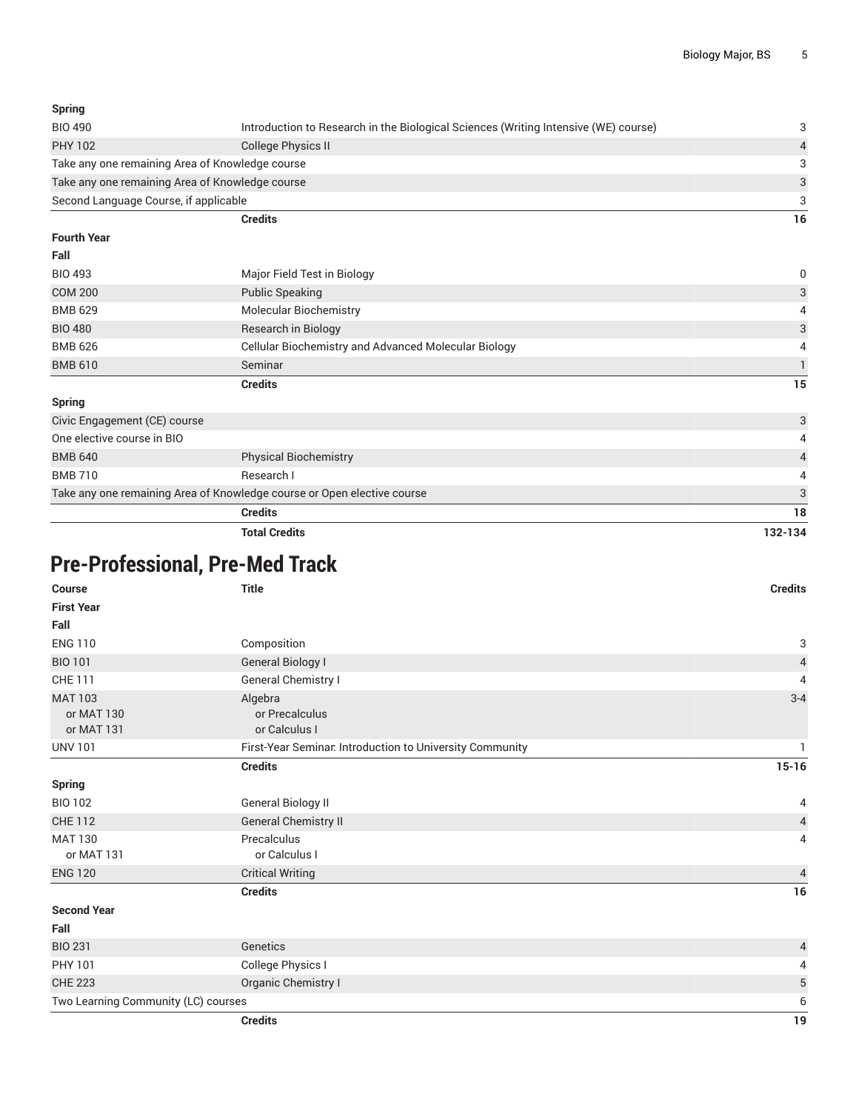#### **Spring**

| Introduction to Research in the Biological Sciences (Writing Intensive (WE) course)<br><b>BIO 490</b> |                                                 | 3        |
|-------------------------------------------------------------------------------------------------------|-------------------------------------------------|----------|
| <b>PHY 102</b>                                                                                        | College Physics II                              |          |
|                                                                                                       | Take any one remaining Area of Knowledge course | 3        |
| Take any one remaining Area of Knowledge course                                                       |                                                 | 3        |
| Second Language Course, if applicable                                                                 |                                                 | 3        |
|                                                                                                       | <b>Credits</b>                                  | 16       |
| <b>Fourth Year</b>                                                                                    |                                                 |          |
| Fall                                                                                                  |                                                 |          |
| <b>BIO 493</b>                                                                                        | Major Field Test in Biology                     | $\Omega$ |
| <b>COM 200</b>                                                                                        | <b>Public Speaking</b>                          | 3        |

| <b>BMB 629</b>               | <b>Molecular Biochemistry</b>                               | 4  |
|------------------------------|-------------------------------------------------------------|----|
| <b>BIO 480</b>               | Research in Biology                                         | 3  |
| <b>BMB 626</b>               | <b>Cellular Biochemistry and Advanced Molecular Biology</b> | 4  |
| <b>BMB 610</b>               | Seminar                                                     |    |
|                              | <b>Credits</b>                                              | 15 |
| <b>Spring</b>                |                                                             |    |
| Civic Engagement (CE) course |                                                             | 3  |

| <b>Total Credits</b>                                                    |                              | 132-134 |
|-------------------------------------------------------------------------|------------------------------|---------|
|                                                                         | <b>Credits</b>               | 18      |
| Take any one remaining Area of Knowledge course or Open elective course |                              | 3       |
| <b>BMB 710</b>                                                          | Research I                   | 4       |
| <b>BMB 640</b>                                                          | <b>Physical Biochemistry</b> | 4       |
| One elective course in BIO                                              |                              | 4       |
| Givic Engagement (GE) course                                            |                              | J.      |

# **Pre-Professional, Pre-Med Track**

| <b>Course</b>                              | <b>Title</b>                                             | <b>Credits</b>           |
|--------------------------------------------|----------------------------------------------------------|--------------------------|
| <b>First Year</b>                          |                                                          |                          |
| Fall                                       |                                                          |                          |
| <b>ENG 110</b>                             | Composition                                              | 3                        |
| <b>BIO 101</b>                             | <b>General Biology I</b>                                 | $\sqrt{4}$               |
| <b>CHE 111</b>                             | General Chemistry I                                      | 4                        |
| <b>MAT 103</b><br>or MAT 130<br>or MAT 131 | Algebra<br>or Precalculus<br>or Calculus I               | $3 - 4$                  |
| <b>UNV 101</b>                             | First-Year Seminar. Introduction to University Community |                          |
|                                            | <b>Credits</b>                                           | $15 - 16$                |
| <b>Spring</b>                              |                                                          |                          |
| <b>BIO 102</b>                             | <b>General Biology II</b>                                | 4                        |
| <b>CHE 112</b>                             | General Chemistry II                                     | $\overline{\mathcal{L}}$ |
| <b>MAT 130</b><br>or MAT 131               | Precalculus<br>or Calculus I                             | $\overline{4}$           |
| <b>ENG 120</b>                             | <b>Critical Writing</b>                                  | $\overline{4}$           |
|                                            | <b>Credits</b>                                           | 16                       |
| <b>Second Year</b>                         |                                                          |                          |
| Fall                                       |                                                          |                          |
| <b>BIO 231</b>                             | Genetics                                                 | $\overline{\mathcal{L}}$ |
| PHY 101                                    | College Physics I                                        | 4                        |
| <b>CHE 223</b>                             | Organic Chemistry I                                      | 5                        |
| Two Learning Community (LC) courses        |                                                          | 6                        |
|                                            | <b>Credits</b>                                           | 19                       |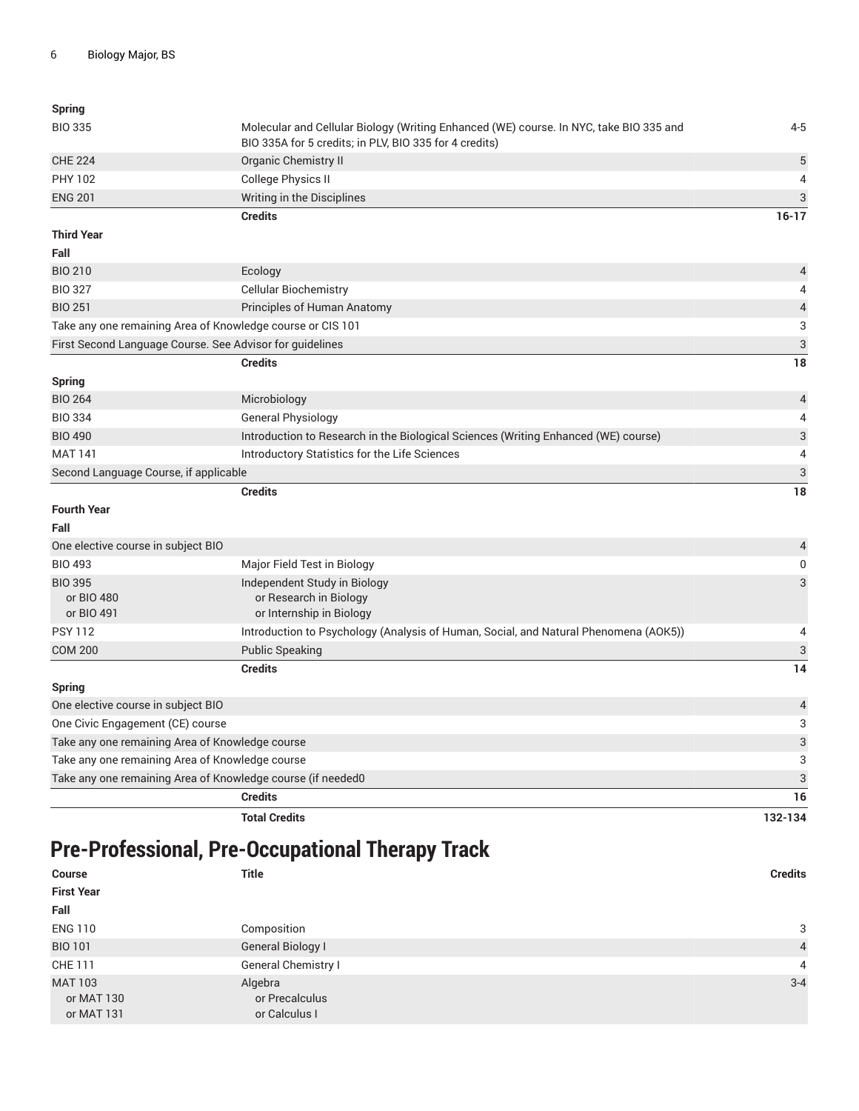| <b>Spring</b>                                              |                                                                                                                                                  |                |
|------------------------------------------------------------|--------------------------------------------------------------------------------------------------------------------------------------------------|----------------|
| <b>BIO 335</b>                                             | Molecular and Cellular Biology (Writing Enhanced (WE) course. In NYC, take BIO 335 and<br>BIO 335A for 5 credits; in PLV, BIO 335 for 4 credits) | $4 - 5$        |
| <b>CHE 224</b>                                             | Organic Chemistry II                                                                                                                             | 5              |
| <b>PHY 102</b>                                             | College Physics II                                                                                                                               | 4              |
| <b>ENG 201</b>                                             | Writing in the Disciplines                                                                                                                       | 3              |
|                                                            | <b>Credits</b>                                                                                                                                   | $16 - 17$      |
| <b>Third Year</b>                                          |                                                                                                                                                  |                |
| Fall                                                       |                                                                                                                                                  |                |
| <b>BIO 210</b>                                             | Ecology                                                                                                                                          | 4              |
| <b>BIO 327</b>                                             | <b>Cellular Biochemistry</b>                                                                                                                     |                |
| <b>BIO 251</b>                                             | Principles of Human Anatomy                                                                                                                      | $\overline{a}$ |
| Take any one remaining Area of Knowledge course or CIS 101 |                                                                                                                                                  | 3              |
| First Second Language Course. See Advisor for guidelines   |                                                                                                                                                  | 3              |
|                                                            | <b>Credits</b>                                                                                                                                   | 18             |
| <b>Spring</b>                                              |                                                                                                                                                  |                |
| <b>BIO 264</b>                                             | Microbiology                                                                                                                                     | $\overline{4}$ |
| <b>BIO 334</b>                                             | <b>General Physiology</b>                                                                                                                        | 4              |
| <b>BIO 490</b>                                             | Introduction to Research in the Biological Sciences (Writing Enhanced (WE) course)                                                               | 3              |
| <b>MAT 141</b>                                             | Introductory Statistics for the Life Sciences                                                                                                    | 4              |
| Second Language Course, if applicable                      |                                                                                                                                                  | 3              |
|                                                            | <b>Credits</b>                                                                                                                                   | 18             |
| <b>Fourth Year</b>                                         |                                                                                                                                                  |                |
| Fall                                                       |                                                                                                                                                  |                |
| One elective course in subject BIO                         |                                                                                                                                                  | 4              |

| One creditive course in subject Dio                         |                                                                                      | ᠇              |
|-------------------------------------------------------------|--------------------------------------------------------------------------------------|----------------|
| <b>BIO 493</b>                                              | Major Field Test in Biology                                                          | 0              |
| <b>BIO 395</b><br>or BIO 480<br>or BIO 491                  | Independent Study in Biology<br>or Research in Biology<br>or Internship in Biology   | 3              |
| <b>PSY 112</b>                                              | Introduction to Psychology (Analysis of Human, Social, and Natural Phenomena (AOK5)) | 4              |
| <b>COM 200</b>                                              | <b>Public Speaking</b>                                                               | 3              |
|                                                             | <b>Credits</b>                                                                       | 14             |
| Spring                                                      |                                                                                      |                |
| One elective course in subject BIO                          |                                                                                      | $\overline{4}$ |
| One Civic Engagement (CE) course                            |                                                                                      | 3              |
| Take any one remaining Area of Knowledge course             |                                                                                      | 3              |
| Take any one remaining Area of Knowledge course             |                                                                                      | 3              |
| Take any one remaining Area of Knowledge course (if needed0 |                                                                                      | 3              |
|                                                             | <b>Credits</b>                                                                       | 16             |
|                                                             | <b>Total Credits</b>                                                                 | 132-134        |

## **Pre-Professional, Pre-Occupational Therapy Track**

| <b>Course</b>                              | <b>Title</b>                               | <b>Credits</b> |
|--------------------------------------------|--------------------------------------------|----------------|
| <b>First Year</b>                          |                                            |                |
| Fall                                       |                                            |                |
| <b>ENG 110</b>                             | Composition                                | 3              |
| <b>BIO 101</b>                             | General Biology I                          | $\overline{4}$ |
| CHE 111                                    | General Chemistry I                        | $\overline{4}$ |
| <b>MAT 103</b><br>or MAT 130<br>or MAT 131 | Algebra<br>or Precalculus<br>or Calculus I | $3 - 4$        |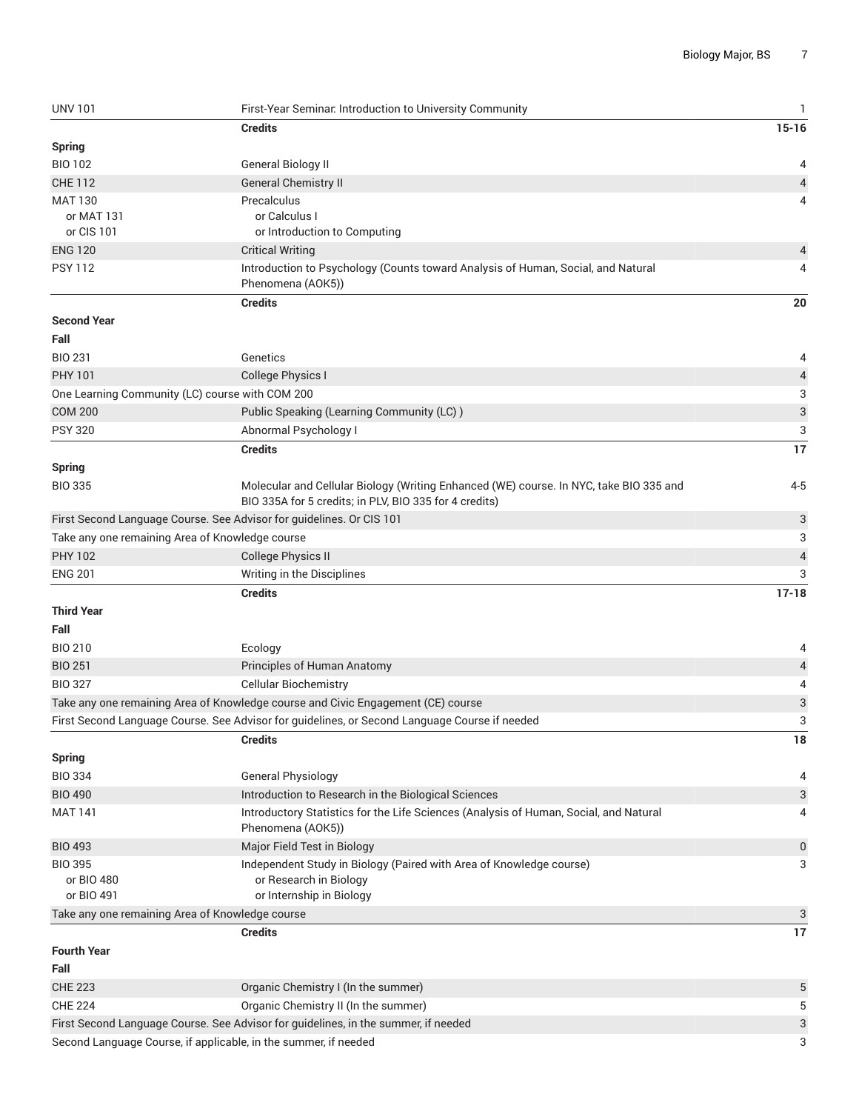| <b>UNV 101</b>                                  | First-Year Seminar. Introduction to University Community                                                   | $\mathbf{1}$              |
|-------------------------------------------------|------------------------------------------------------------------------------------------------------------|---------------------------|
|                                                 | <b>Credits</b>                                                                                             | $15 - 16$                 |
| <b>Spring</b>                                   |                                                                                                            |                           |
| <b>BIO 102</b>                                  | General Biology II                                                                                         | 4                         |
| <b>CHE 112</b>                                  | <b>General Chemistry II</b>                                                                                | 4                         |
| <b>MAT 130</b>                                  | Precalculus                                                                                                | 4                         |
| or MAT 131                                      | or Calculus I                                                                                              |                           |
| or CIS 101                                      | or Introduction to Computing                                                                               |                           |
| <b>ENG 120</b>                                  | <b>Critical Writing</b>                                                                                    | 4                         |
| <b>PSY 112</b>                                  | Introduction to Psychology (Counts toward Analysis of Human, Social, and Natural                           | 4                         |
|                                                 | Phenomena (AOK5))                                                                                          |                           |
|                                                 | <b>Credits</b>                                                                                             | 20                        |
| <b>Second Year</b>                              |                                                                                                            |                           |
| Fall                                            |                                                                                                            |                           |
| <b>BIO 231</b>                                  | Genetics                                                                                                   | 4                         |
| <b>PHY 101</b>                                  | College Physics I                                                                                          | 4                         |
|                                                 | One Learning Community (LC) course with COM 200                                                            | 3                         |
| <b>COM 200</b>                                  | Public Speaking (Learning Community (LC))                                                                  | $\ensuremath{\mathsf{3}}$ |
| <b>PSY 320</b>                                  | Abnormal Psychology I                                                                                      | 3                         |
|                                                 | <b>Credits</b>                                                                                             | 17                        |
| <b>Spring</b>                                   |                                                                                                            |                           |
| <b>BIO 335</b>                                  | Molecular and Cellular Biology (Writing Enhanced (WE) course. In NYC, take BIO 335 and                     | $4 - 5$                   |
|                                                 | BIO 335A for 5 credits; in PLV, BIO 335 for 4 credits)                                                     |                           |
|                                                 | First Second Language Course. See Advisor for guidelines. Or CIS 101                                       | 3                         |
| Take any one remaining Area of Knowledge course |                                                                                                            | 3                         |
| <b>PHY 102</b>                                  | <b>College Physics II</b>                                                                                  | 4                         |
| <b>ENG 201</b>                                  |                                                                                                            | 3                         |
|                                                 | Writing in the Disciplines                                                                                 |                           |
|                                                 | <b>Credits</b>                                                                                             | $17 - 18$                 |
| <b>Third Year</b>                               |                                                                                                            |                           |
| Fall                                            |                                                                                                            |                           |
| <b>BIO 210</b>                                  | Ecology                                                                                                    | 4                         |
| <b>BIO 251</b>                                  | Principles of Human Anatomy                                                                                | 4                         |
| <b>BIO 327</b>                                  | <b>Cellular Biochemistry</b>                                                                               | 4                         |
|                                                 | Take any one remaining Area of Knowledge course and Civic Engagement (CE) course                           | 3                         |
|                                                 | First Second Language Course. See Advisor for guidelines, or Second Language Course if needed              | 3                         |
|                                                 | <b>Credits</b>                                                                                             | 18                        |
| <b>Spring</b>                                   |                                                                                                            |                           |
| <b>BIO 334</b>                                  | General Physiology                                                                                         | 4                         |
| <b>BIO 490</b>                                  | Introduction to Research in the Biological Sciences                                                        | 3                         |
| <b>MAT 141</b>                                  | Introductory Statistics for the Life Sciences (Analysis of Human, Social, and Natural<br>Phenomena (AOK5)) | 4                         |
| <b>BIO 493</b>                                  | Major Field Test in Biology                                                                                | 0                         |
| <b>BIO 395</b>                                  | Independent Study in Biology (Paired with Area of Knowledge course)                                        | 3                         |
| or BIO 480                                      | or Research in Biology                                                                                     |                           |
| or BIO 491                                      | or Internship in Biology                                                                                   |                           |
| Take any one remaining Area of Knowledge course |                                                                                                            | 3                         |
|                                                 | <b>Credits</b>                                                                                             | 17                        |
| <b>Fourth Year</b>                              |                                                                                                            |                           |
| Fall                                            |                                                                                                            |                           |
| <b>CHE 223</b>                                  | Organic Chemistry I (In the summer)                                                                        | 5                         |
| <b>CHE 224</b>                                  | Organic Chemistry II (In the summer)                                                                       | 5                         |
|                                                 | First Second Language Course. See Advisor for guidelines, in the summer, if needed                         | 3                         |
|                                                 | Second Language Course, if applicable, in the summer, if needed                                            | 3                         |
|                                                 |                                                                                                            |                           |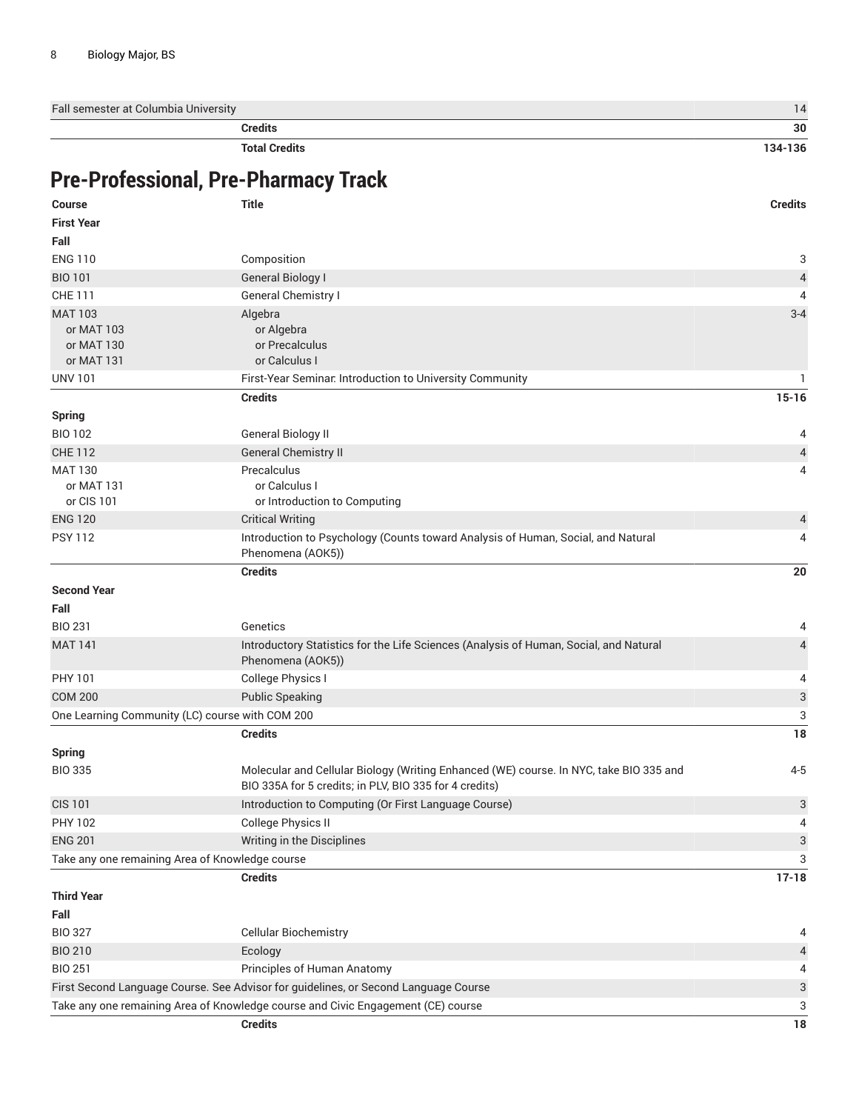Fall semester at Columbia University 14

**Credits 30**

**Total Credits 134-136**

### **Pre-Professional, Pre-Pharmacy Track**

| <b>Course</b>                                   | Title                                                                                                                                            | <b>Credits</b>            |
|-------------------------------------------------|--------------------------------------------------------------------------------------------------------------------------------------------------|---------------------------|
| <b>First Year</b>                               |                                                                                                                                                  |                           |
| Fall                                            |                                                                                                                                                  |                           |
| <b>ENG 110</b>                                  | Composition                                                                                                                                      | 3                         |
| <b>BIO 101</b>                                  | <b>General Biology I</b>                                                                                                                         | $\sqrt{4}$                |
| <b>CHE 111</b>                                  | General Chemistry I                                                                                                                              | 4                         |
| <b>MAT 103</b>                                  | Algebra                                                                                                                                          | $3 - 4$                   |
| or MAT 103                                      | or Algebra                                                                                                                                       |                           |
| or MAT 130                                      | or Precalculus                                                                                                                                   |                           |
| or MAT 131                                      | or Calculus I                                                                                                                                    |                           |
| <b>UNV 101</b>                                  | First-Year Seminar. Introduction to University Community                                                                                         | -1                        |
|                                                 | <b>Credits</b>                                                                                                                                   | $15 - 16$                 |
| <b>Spring</b>                                   |                                                                                                                                                  |                           |
| <b>BIO 102</b>                                  | General Biology II                                                                                                                               | 4                         |
| <b>CHE 112</b>                                  | <b>General Chemistry II</b>                                                                                                                      | $\overline{4}$            |
| <b>MAT 130</b>                                  | Precalculus                                                                                                                                      | 4                         |
| or MAT 131                                      | or Calculus I                                                                                                                                    |                           |
| or CIS 101                                      | or Introduction to Computing                                                                                                                     |                           |
| <b>ENG 120</b>                                  | <b>Critical Writing</b>                                                                                                                          | 4                         |
| <b>PSY 112</b>                                  | Introduction to Psychology (Counts toward Analysis of Human, Social, and Natural<br>Phenomena (AOK5))                                            | 4                         |
|                                                 | <b>Credits</b>                                                                                                                                   | 20                        |
| <b>Second Year</b>                              |                                                                                                                                                  |                           |
| Fall                                            |                                                                                                                                                  |                           |
| <b>BIO 231</b>                                  | Genetics                                                                                                                                         | 4                         |
| <b>MAT 141</b>                                  | Introductory Statistics for the Life Sciences (Analysis of Human, Social, and Natural                                                            | $\overline{4}$            |
|                                                 | Phenomena (AOK5))                                                                                                                                |                           |
| PHY 101                                         | College Physics I                                                                                                                                | 4                         |
| <b>COM 200</b>                                  | <b>Public Speaking</b>                                                                                                                           | $\ensuremath{\mathsf{3}}$ |
| One Learning Community (LC) course with COM 200 |                                                                                                                                                  | 3                         |
|                                                 | <b>Credits</b>                                                                                                                                   | 18                        |
| <b>Spring</b>                                   |                                                                                                                                                  |                           |
| <b>BIO 335</b>                                  | Molecular and Cellular Biology (Writing Enhanced (WE) course. In NYC, take BIO 335 and<br>BIO 335A for 5 credits; in PLV, BIO 335 for 4 credits) | $4 - 5$                   |
| <b>CIS 101</b>                                  | Introduction to Computing (Or First Language Course)                                                                                             | 3                         |
| PHY 102                                         | College Physics II                                                                                                                               | 4                         |
| <b>ENG 201</b>                                  | Writing in the Disciplines                                                                                                                       | $\ensuremath{\mathsf{3}}$ |
| Take any one remaining Area of Knowledge course |                                                                                                                                                  | 3                         |
|                                                 | <b>Credits</b>                                                                                                                                   | $17 - 18$                 |
| <b>Third Year</b>                               |                                                                                                                                                  |                           |
| Fall                                            |                                                                                                                                                  |                           |
| <b>BIO 327</b>                                  | Cellular Biochemistry                                                                                                                            | 4                         |
| <b>BIO 210</b>                                  | Ecology                                                                                                                                          | $\overline{4}$            |
| <b>BIO 251</b>                                  | Principles of Human Anatomy                                                                                                                      | 4                         |
|                                                 | First Second Language Course. See Advisor for guidelines, or Second Language Course                                                              | 3                         |
|                                                 | Take any one remaining Area of Knowledge course and Civic Engagement (CE) course                                                                 | 3                         |
|                                                 | <b>Credits</b>                                                                                                                                   | $18\,$                    |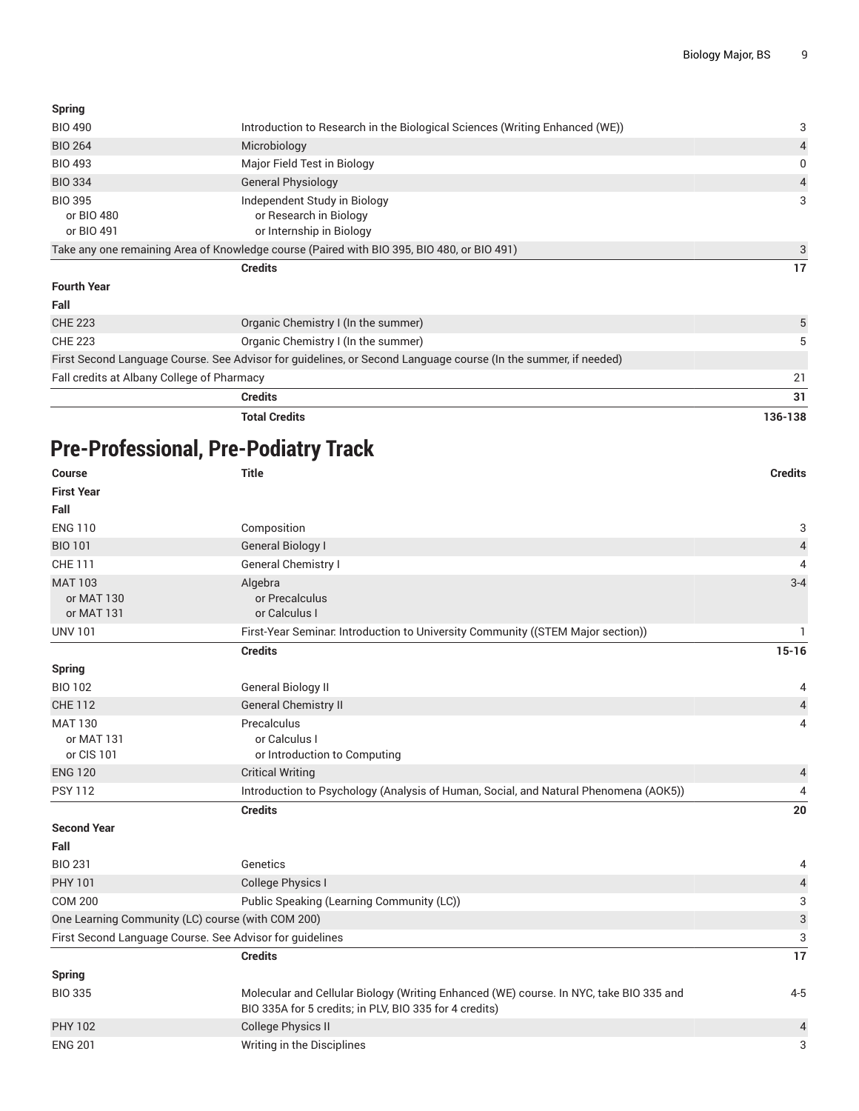| Spring                                     |                                                                                                                |         |
|--------------------------------------------|----------------------------------------------------------------------------------------------------------------|---------|
| <b>BIO 490</b>                             | Introduction to Research in the Biological Sciences (Writing Enhanced (WE))                                    | 3       |
| <b>BIO 264</b>                             | Microbiology                                                                                                   | 4       |
| <b>BIO 493</b>                             | Major Field Test in Biology                                                                                    | 0       |
| <b>BIO 334</b>                             | <b>General Physiology</b>                                                                                      | 4       |
| <b>BIO 395</b><br>or BIO 480<br>or BIO 491 | Independent Study in Biology<br>or Research in Biology<br>or Internship in Biology                             | 3       |
|                                            | Take any one remaining Area of Knowledge course (Paired with BIO 395, BIO 480, or BIO 491)                     | 3       |
|                                            | <b>Credits</b>                                                                                                 | 17      |
| <b>Fourth Year</b>                         |                                                                                                                |         |
| Fall                                       |                                                                                                                |         |
| <b>CHE 223</b>                             | Organic Chemistry I (In the summer)                                                                            | 5       |
| <b>CHE 223</b>                             | Organic Chemistry I (In the summer)                                                                            | 5       |
|                                            | First Second Language Course. See Advisor for guidelines, or Second Language course (In the summer, if needed) |         |
| Fall credits at Albany College of Pharmacy |                                                                                                                | 21      |
|                                            | <b>Credits</b>                                                                                                 | 31      |
|                                            | <b>Total Credits</b>                                                                                           | 136-138 |

## **Pre-Professional, Pre-Podiatry Track**

| <b>Course</b>                                            | <b>Title</b>                                                                                                                                     | <b>Credits</b>            |
|----------------------------------------------------------|--------------------------------------------------------------------------------------------------------------------------------------------------|---------------------------|
| <b>First Year</b>                                        |                                                                                                                                                  |                           |
| Fall                                                     |                                                                                                                                                  |                           |
| <b>ENG 110</b>                                           | Composition                                                                                                                                      | 3                         |
| <b>BIO 101</b>                                           | <b>General Biology I</b>                                                                                                                         | $\sqrt{4}$                |
| <b>CHE 111</b>                                           | General Chemistry I                                                                                                                              | $\overline{4}$            |
| <b>MAT 103</b>                                           | Algebra                                                                                                                                          | $3 - 4$                   |
| or MAT 130                                               | or Precalculus                                                                                                                                   |                           |
| or MAT 131                                               | or Calculus I                                                                                                                                    |                           |
| <b>UNV 101</b>                                           | First-Year Seminar. Introduction to University Community ((STEM Major section))                                                                  | ı.                        |
|                                                          | <b>Credits</b>                                                                                                                                   | $15-16$                   |
| <b>Spring</b>                                            |                                                                                                                                                  |                           |
| <b>BIO 102</b>                                           | <b>General Biology II</b>                                                                                                                        | 4                         |
| <b>CHE 112</b>                                           | <b>General Chemistry II</b>                                                                                                                      | $\overline{\mathcal{L}}$  |
| <b>MAT 130</b>                                           | Precalculus                                                                                                                                      | 4                         |
| or MAT 131                                               | or Calculus I                                                                                                                                    |                           |
| or CIS 101                                               | or Introduction to Computing                                                                                                                     |                           |
| <b>ENG 120</b>                                           | <b>Critical Writing</b>                                                                                                                          | 4                         |
| <b>PSY 112</b>                                           | Introduction to Psychology (Analysis of Human, Social, and Natural Phenomena (AOK5))                                                             | 4                         |
|                                                          | <b>Credits</b>                                                                                                                                   | 20                        |
| <b>Second Year</b>                                       |                                                                                                                                                  |                           |
| Fall                                                     |                                                                                                                                                  |                           |
| <b>BIO 231</b>                                           | Genetics                                                                                                                                         | 4                         |
| <b>PHY 101</b>                                           | College Physics I                                                                                                                                | $\overline{4}$            |
| <b>COM 200</b>                                           | Public Speaking (Learning Community (LC))                                                                                                        | 3                         |
| One Learning Community (LC) course (with COM 200)        |                                                                                                                                                  | $\ensuremath{\mathsf{3}}$ |
| First Second Language Course. See Advisor for guidelines |                                                                                                                                                  | 3                         |
|                                                          | <b>Credits</b>                                                                                                                                   | $\overline{17}$           |
| <b>Spring</b>                                            |                                                                                                                                                  |                           |
| <b>BIO 335</b>                                           | Molecular and Cellular Biology (Writing Enhanced (WE) course. In NYC, take BIO 335 and<br>BIO 335A for 5 credits; in PLV, BIO 335 for 4 credits) | $4 - 5$                   |
| <b>PHY 102</b>                                           | <b>College Physics II</b>                                                                                                                        | 4                         |
| <b>ENG 201</b>                                           | Writing in the Disciplines                                                                                                                       | 3                         |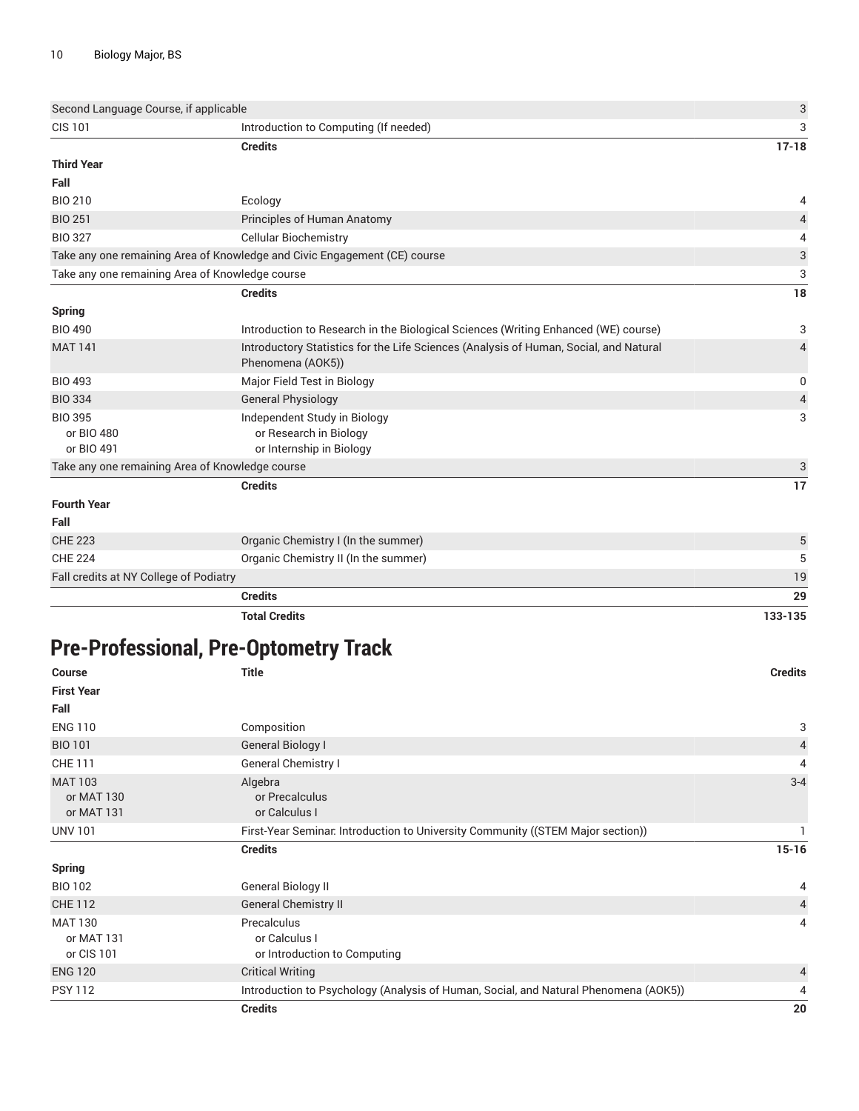|                                                 | <b>Credits</b>                                                                                             | 29             |
|-------------------------------------------------|------------------------------------------------------------------------------------------------------------|----------------|
| Fall credits at NY College of Podiatry          |                                                                                                            | 19             |
| <b>CHE 224</b>                                  | Organic Chemistry II (In the summer)                                                                       | 5              |
| <b>CHE 223</b>                                  | Organic Chemistry I (In the summer)                                                                        | 5              |
| Fall                                            |                                                                                                            |                |
| <b>Fourth Year</b>                              |                                                                                                            |                |
|                                                 | <b>Credits</b>                                                                                             | 17             |
| Take any one remaining Area of Knowledge course |                                                                                                            | 3              |
| or BIO 491                                      | or Internship in Biology                                                                                   |                |
| or BIO 480                                      | or Research in Biology                                                                                     |                |
| <b>BIO 395</b>                                  | Independent Study in Biology                                                                               | 3              |
| <b>BIO 334</b>                                  | <b>General Physiology</b>                                                                                  | 4              |
| <b>BIO 493</b>                                  | Major Field Test in Biology                                                                                | 0              |
| <b>MAT 141</b>                                  | Introductory Statistics for the Life Sciences (Analysis of Human, Social, and Natural<br>Phenomena (AOK5)) | $\overline{4}$ |
| <b>BIO 490</b>                                  | Introduction to Research in the Biological Sciences (Writing Enhanced (WE) course)                         | 3              |
| <b>Spring</b>                                   |                                                                                                            |                |
|                                                 | <b>Credits</b>                                                                                             | 18             |
| Take any one remaining Area of Knowledge course |                                                                                                            | 3              |
|                                                 | Take any one remaining Area of Knowledge and Civic Engagement (CE) course                                  | 3              |
| <b>BIO 327</b>                                  | <b>Cellular Biochemistry</b>                                                                               | 4              |
| <b>BIO 251</b>                                  | Principles of Human Anatomy                                                                                | 4              |
| <b>BIO 210</b>                                  | Ecology                                                                                                    | 4              |
| Fall                                            |                                                                                                            |                |
| <b>Third Year</b>                               |                                                                                                            |                |
|                                                 | <b>Credits</b>                                                                                             | $17 - 18$      |
| <b>CIS 101</b>                                  | Introduction to Computing (If needed)                                                                      | 3              |
| Second Language Course, if applicable           |                                                                                                            | 3              |

**Total Credits 133-135**

## **Pre-Professional, Pre-Optometry Track**

| <b>Course</b>                              | <b>Title</b>                                                                         | <b>Credits</b> |
|--------------------------------------------|--------------------------------------------------------------------------------------|----------------|
| <b>First Year</b>                          |                                                                                      |                |
| Fall                                       |                                                                                      |                |
| <b>ENG 110</b>                             | Composition                                                                          | 3              |
| <b>BIO 101</b>                             | General Biology I                                                                    | $\overline{4}$ |
| <b>CHE 111</b>                             | General Chemistry I                                                                  | 4              |
| <b>MAT 103</b><br>or MAT 130<br>or MAT 131 | Algebra<br>or Precalculus<br>or Calculus I                                           | $3 - 4$        |
| <b>UNV 101</b>                             | First-Year Seminar. Introduction to University Community ((STEM Major section))      |                |
|                                            | <b>Credits</b>                                                                       | $15 - 16$      |
| <b>Spring</b>                              |                                                                                      |                |
| <b>BIO 102</b>                             | General Biology II                                                                   | 4              |
| <b>CHE 112</b>                             | <b>General Chemistry II</b>                                                          | 4              |
| <b>MAT 130</b><br>or MAT 131<br>or CIS 101 | Precalculus<br>or Calculus I<br>or Introduction to Computing                         | 4              |
| <b>ENG 120</b>                             | <b>Critical Writing</b>                                                              | 4              |
| <b>PSY 112</b>                             | Introduction to Psychology (Analysis of Human, Social, and Natural Phenomena (AOK5)) | 4              |
|                                            | <b>Credits</b>                                                                       | 20             |